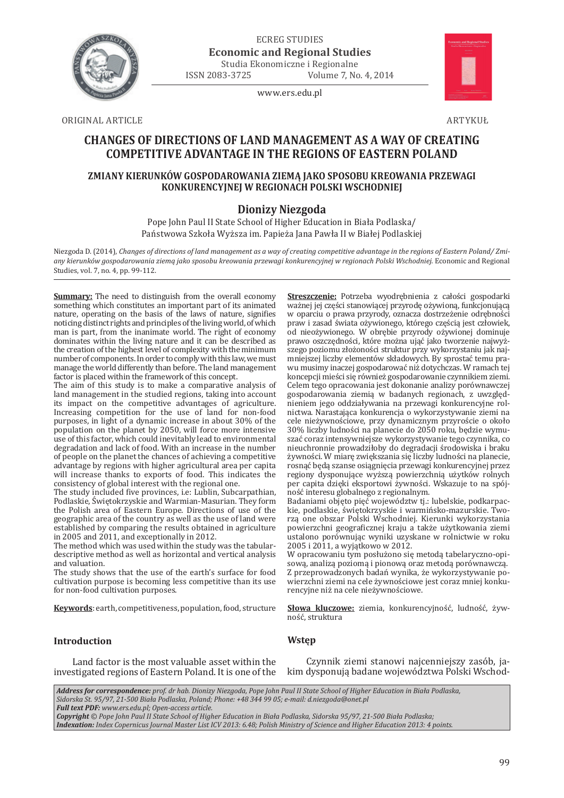

ECREG STUDIES **Economic and Regional Studies**

Studia Ekonomiczne i Regionalne<br>ISSN 2083-3725 Volume 7, No Volume 7, No. 4, 2014

www.ers.edu.pl



ORIGINAL ARTICLE ARTYKUŁ

# **CHANGES OF DIRECTIONS OF LAND MANAGEMENT AS A WAY OF CREATING COMPETITIVE ADVANTAGE IN THE REGIONS OF EASTERN POLAND**

# **ZMIANY KIERUNKÓW GOSPODAROWANIA ZIEMĄ JAKO SPOSOBU KREOWANIA PRZEWAGI KONKURENCYJNEJ W REGIONACH POLSKI WSCHODNIEJ**

# **Dionizy Niezgoda**

Pope John Paul II State School of Higher Education in Biała Podlaska/ Państwowa Szkoła Wyższa im. Papieża Jana Pawła II w Białej Podlaskiej

Niezgoda D. (2014), *Changes of directions of land management as a way of creating competitive advantage in the regions of Eastern Poland/ Zmiany kierunków gospodarowania ziemą jako sposobu kreowania przewagi konkurencyjnej w regionach Polski Wschodniej.* Economic and Regional Studies, vol. 7, no. 4, pp. 99-112.

**Summary:** The need to distinguish from the overall economy something which constitutes an important part of its animated nature, operating on the basis of the laws of nature, signifies noticing distinct rights and principles of the living world, of which man is part, from the inanimate world. The right of economy dominates within the living nature and it can be described as the creation of the highest level of complexity with the minimum number of components. In order to comply with this law, we must manage the world differently than before. The land management factor is placed within the framework of this concept.

The aim of this study is to make a comparative analysis of land management in the studied regions, taking into account its impact on the competitive advantages of agriculture. Increasing competition for the use of land for non-food purposes, in light of a dynamic increase in about 30% of the population on the planet by 2050, will force more intensive use of this factor, which could inevitably lead to environmental degradation and lack of food. With an increase in the number of people on the planet the chances of achieving a competitive advantage by regions with higher agricultural area per capita will increase thanks to exports of food. This indicates the consistency of global interest with the regional one.

The study included five provinces, i.e: Lublin, Subcarpathian, Podlaskie, Świętokrzyskie and Warmian-Masurian. They form the Polish area of Eastern Europe. Directions of use of the geographic area of the country as well as the use of land were established by comparing the results obtained in agriculture in 2005 and 2011, and exceptionally in 2012.

The method which was used within the study was the tabulardescriptive method as well as horizontal and vertical analysis and valuation.

The study shows that the use of the earth's surface for food cultivation purpose is becoming less competitive than its use for non-food cultivation purposes.

**Keywords**: earth, competitiveness, population, food, structure

**Streszczenie:** Potrzeba wyodrębnienia z całości gospodarki ważnej jej części stanowiącej przyrodę ożywioną, funkcjonującą w oparciu o prawa przyrody, oznacza dostrzeżenie odrębności praw i zasad świata ożywionego, którego częścią jest człowiek, od nieożywionego. W obrębie przyrody ożywionej dominuje prawo oszczędności, które można ująć jako tworzenie najwyższego poziomu złożoności struktur przy wykorzystaniu jak najmniejszej liczby elementów składowych. By sprostać temu prawu musimy inaczej gospodarować niż dotychczas. W ramach tej koncepcji mieści się również gospodarowanie czynnikiem ziemi. Celem tego opracowania jest dokonanie analizy porównawczej gospodarowania ziemią w badanych regionach, z uwzględnieniem jego oddziaływania na przewagi konkurencyjne rolnictwa. Narastająca konkurencja o wykorzystywanie ziemi na cele nieżywnościowe, przy dynamicznym przyroście o około 30% liczby ludności na planecie do 2050 roku, będzie wymuszać coraz intensywniejsze wykorzystywanie tego czynnika, co nieuchronnie prowadziłoby do degradacji środowiska i braku żywności. W miarę zwiększania się liczby ludności na planecie, rosnąć będą szanse osiągnięcia przewagi konkurencyjnej przez regiony dysponujące wyższą powierzchnią użytków rolnych per capita dzięki eksportowi żywności. Wskazuje to na spójność interesu globalnego z regionalnym.

Badaniami objęto pięć województw tj.: lubelskie, podkarpackie, podlaskie, świętokrzyskie i warmińsko-mazurskie. Tworzą one obszar Polski Wschodniej. Kierunki wykorzystania powierzchni geograficznej kraju a także użytkowania ziemi ustalono porównując wyniki uzyskane w rolnictwie w roku 2005 i 2011, a wyjątkowo w 2012.

W opracowaniu tym posłużono się metodą tabelaryczno-opisową, analizą poziomą i pionową oraz metodą porównawczą. Z przeprowadzonych badań wynika, że wykorzystywanie powierzchni ziemi na cele żywnościowe jest coraz mniej konkurencyjne niż na cele nieżywnościowe.

**Słowa kluczowe:** ziemia, konkurencyjność, ludność, żywność, struktura

## **Introduction**

Land factor is the most valuable asset within the investigated regions of Eastern Poland. It is one of the

Czynnik ziemi stanowi najcenniejszy zasób, jakim dysponują badane województwa Polski Wschod-

*Address for correspondence: prof. dr hab. Dionizy Niezgoda, Pope John Paul II State School of Higher Education in Biała Podlaska, Sidorska St. 95/97, 21-500 Biała Podlaska, Poland; Phone: +48 344 99 05; e-mail: d.niezgoda@onet.pl*

**Wstęp**

*Full text PDF: www.ers.edu.pl; Open-access article.* 

*Copyright © Pope John Paul II State School of Higher Education in Biała Podlaska, Sidorska 95/97, 21-500 Biała Podlaska;* 

*Indexation: Index Copernicus Journal Master List ICV 2013: 6.48; Polish Ministry of Science and Higher Education 2013: 4 points.*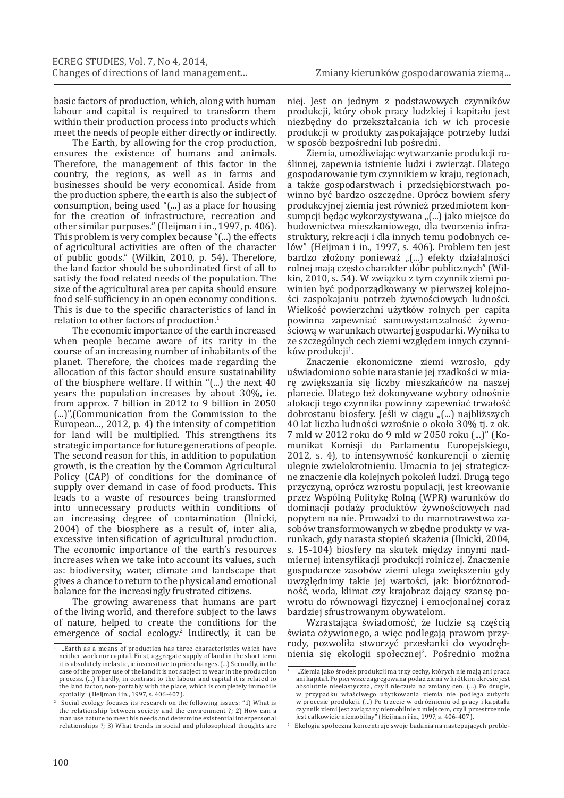basic factors of production, which, along with human labour and capital is required to transform them within their production process into products which meet the needs of people either directly or indirectly.

The Earth, by allowing for the crop production, ensures the existence of humans and animals. Therefore, the management of this factor in the country, the regions, as well as in farms and businesses should be very economical. Aside from the production sphere, the earth is also the subject of consumption, being used "(...) as a place for housing for the creation of infrastructure, recreation and other similar purposes." (Heijman i in., 1997, p. 406). This problem is very complex because "(...) the effects of agricultural activities are often of the character of public goods." (Wilkin, 2010, p. 54). Therefore, the land factor should be subordinated first of all to satisfy the food related needs of the population. The size of the agricultural area per capita should ensure food self-sufficiency in an open economy conditions. This is due to the specific characteristics of land in relation to other factors of production.1

The economic importance of the earth increased when people became aware of its rarity in the course of an increasing number of inhabitants of the planet. Therefore, the choices made regarding the allocation of this factor should ensure sustainability of the biosphere welfare. If within "(...) the next 40 years the population increases by about 30%, ie. from approx. 7 billion in 2012 to 9 billion in 2050 (...)",(Communication from the Commission to the European..., 2012, p. 4) the intensity of competition for land will be multiplied. This strengthens its strategic importance for future generations of people. The second reason for this, in addition to population growth, is the creation by the Common Agricultural Policy (CAP) of conditions for the dominance of supply over demand in case of food products. This leads to a waste of resources being transformed into unnecessary products within conditions of an increasing degree of contamination (Ilnicki, 2004) of the biosphere as a result of, inter alia, excessive intensification of agricultural production. The economic importance of the earth's resources increases when we take into account its values, such as: biodiversity, water, climate and landscape that gives a chance to return to the physical and emotional balance for the increasingly frustrated citizens.

The growing awareness that humans are part of the living world, and therefore subject to the laws of nature, helped to create the conditions for the emergence of social ecology.<sup>2</sup> Indirectly, it can be niej. Jest on jednym z podstawowych czynników produkcji, który obok pracy ludzkiej i kapitału jest niezbędny do przekształcania ich w ich procesie produkcji w produkty zaspokajające potrzeby ludzi w sposób bezpośredni lub pośredni.

Ziemia, umożliwiając wytwarzanie produkcji roślinnej, zapewnia istnienie ludzi i zwierząt. Dlatego gospodarowanie tym czynnikiem w kraju, regionach, a także gospodarstwach i przedsiębiorstwach powinno być bardzo oszczędne. Oprócz bowiem sfery produkcyjnej ziemia jest również przedmiotem konsumpcji będąc wykorzystywana "(...) jako miejsce do budownictwa mieszkaniowego, dla tworzenia infrastruktury, rekreacji i dla innych temu podobnych celów" (Heijman i in., 1997, s. 406). Problem ten jest bardzo złożony ponieważ "(...) efekty działalności rolnej mają często charakter dóbr publicznych" (Wilkin, 2010, s. 54). W związku z tym czynnik ziemi powinien być podporządkowany w pierwszej kolejności zaspokajaniu potrzeb żywnościowych ludności. Wielkość powierzchni użytków rolnych per capita powinna zapewniać samowystarczalność żywnościową w warunkach otwartej gospodarki. Wynika to ze szczególnych cech ziemi względem innych czynników produkcji<sup>1</sup>.

Znaczenie ekonomiczne ziemi wzrosło, gdy uświadomiono sobie narastanie jej rzadkości w miarę zwiększania się liczby mieszkańców na naszej planecie. Dlatego też dokonywane wybory odnośnie alokacji tego czynnika powinny zapewniać trwałość dobrostanu biosfery. Jeśli w ciągu "(...) najbliższych 40 lat liczba ludności wzrośnie o około 30% tj. z ok. 7 mld w 2012 roku do 9 mld w 2050 roku (...)" (Komunikat Komisji do Parlamentu Europejskiego, 2012, s. 4), to intensywność konkurencji o ziemię ulegnie zwielokrotnieniu. Umacnia to jej strategiczne znaczenie dla kolejnych pokoleń ludzi. Drugą tego przyczyną, oprócz wzrostu populacji, jest kreowanie przez Wspólną Politykę Rolną (WPR) warunków do dominacji podaży produktów żywnościowych nad popytem na nie. Prowadzi to do marnotrawstwa zasobów transformowanych w zbędne produkty w warunkach, gdy narasta stopień skażenia (Ilnicki, 2004, s. 15-104) biosfery na skutek między innymi nadmiernej intensyfikacji produkcji rolniczej. Znaczenie gospodarcze zasobów ziemi ulega zwiększeniu gdy uwzględnimy takie jej wartości, jak: bioróżnorodność, woda, klimat czy krajobraz dający szansę powrotu do równowagi fizycznej i emocjonalnej coraz bardziej sfrustrowanym obywatelom.

Wzrastająca świadomość, że ludzie są częścią świata ożywionego, a więc podlegają prawom przyrody, pozwoliła stworzyć przesłanki do wyodrębnienia się ekologii społecznej<sup>2</sup>. Pośrednio można

 $\frac{1}{1}$  "Earth as a means of production has three characteristics which have neither work nor capital. First, aggregate supply of land in the short term it is absolutely inelastic, ie insensitive to price changes. (...) Secondly, in the case of the proper use of the land it is not subject to wear in the production process. (...) Thirdly, in contrast to the labour and capital it is related to the land factor, non-portably with the place, which is completely immobile spatially" (Heijman i in., 1997, s. 406-407).

<sup>2</sup> Social ecology focuses its research on the following issues: "1) What is the relationship between society and the environment ?; 2) How can a man use nature to meet his needs and determine existential interpersonal relationships ?; 3) What trends in social and philosophical thoughts are

<sup>..&</sup>lt;br>Ziemia jako środek produkcji ma trzy cechy, których nie mają ani praca ani kapitał. Po pierwsze zagregowana podaż ziemi w krótkim okresie jest absolutnie nieelastyczna, czyli nieczuła na zmiany cen. (...) Po drugie, w przypadku właściwego użytkowania ziemia nie podlega zużyciu w procesie produkcji. (...) Po trzecie w odróżnieniu od pracy i kapitału czynnik ziemi jest związany niemobilnie z miejscem, czyli przestrzennie jest całkowicie niemobilny" (Heijman i in., 1997, s. 406-407).

<sup>2</sup> Ekologia społeczna koncentruje swoje badania na następujących proble-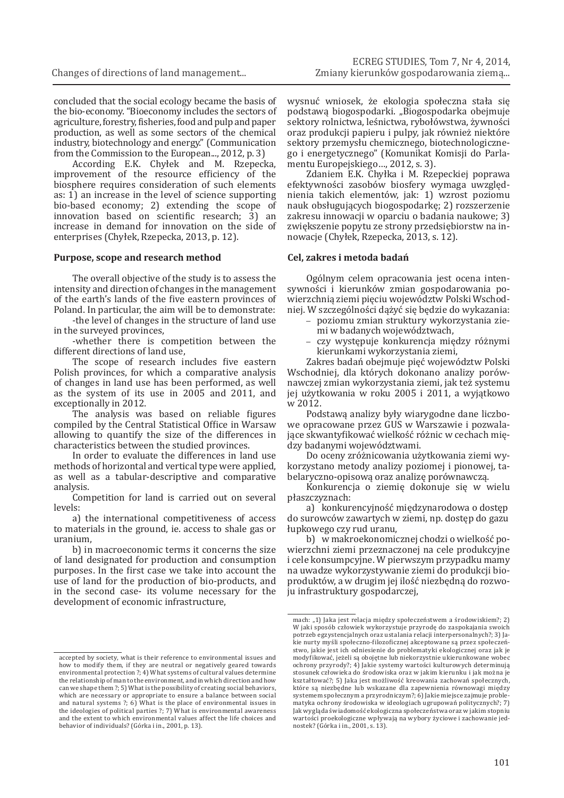concluded that the social ecology became the basis of the bio-economy. "Bioeconomy includes the sectors of agriculture, forestry, fisheries, food and pulp and paper production, as well as some sectors of the chemical industry, biotechnology and energy." (Communication from the Commission to the European..., 2012, p. 3)

According E.K. Chyłek and M. Rzepecka, improvement of the resource efficiency of the biosphere requires consideration of such elements as: 1) an increase in the level of science supporting bio-based economy; 2) extending the scope of innovation based on scientific research; 3) an increase in demand for innovation on the side of enterprises (Chyłek, Rzepecka, 2013, p. 12).

#### **Purpose, scope and research method**

The overall objective of the study is to assess the intensity and direction of changes in the management of the earth's lands of the five eastern provinces of Poland. In particular, the aim will be to demonstrate:

-the level of changes in the structure of land use in the surveyed provinces,

-whether there is competition between the different directions of land use,

The scope of research includes five eastern Polish provinces, for which a comparative analysis of changes in land use has been performed, as well as the system of its use in 2005 and 2011, and exceptionally in 2012.

The analysis was based on reliable figures compiled by the Central Statistical Office in Warsaw allowing to quantify the size of the differences in characteristics between the studied provinces.

In order to evaluate the differences in land use methods of horizontal and vertical type were applied, as well as a tabular-descriptive and comparative analysis.

Competition for land is carried out on several levels:

a) the international competitiveness of access to materials in the ground, ie. access to shale gas or uranium,

b) in macroeconomic terms it concerns the size of land designated for production and consumption purposes. In the first case we take into account the use of land for the production of bio-products, and in the second case- its volume necessary for the development of economic infrastructure,

wysnuć wniosek, że ekologia społeczna stała się podstawą biogospodarki. "Biogospodarka obejmuje sektory rolnictwa, leśnictwa, rybołówstwa, żywności oraz produkcji papieru i pulpy, jak również niektóre sektory przemysłu chemicznego, biotechnologicznego i energetycznego" (Komunikat Komisji do Parlamentu Europejskiego…, 2012, s. 3).

Zdaniem E.K. Chyłka i M. Rzepeckiej poprawa efektywności zasobów biosfery wymaga uwzględnienia takich elementów, jak: 1) wzrost poziomu nauk obsługujących biogospodarkę; 2) rozszerzenie zakresu innowacji w oparciu o badania naukowe; 3) zwiększenie popytu ze strony przedsiębiorstw na innowacje (Chyłek, Rzepecka, 2013, s. 12).

#### **Cel, zakres i metoda badań**

Ogólnym celem opracowania jest ocena intensywności i kierunków zmian gospodarowania powierzchnią ziemi pięciu województw Polski Wschodniej. W szczególności dążyć się będzie do wykazania:

- poziomu zmian struktury wykorzystania ziemi w badanych województwach,
- czy występuje konkurencja między różnymi kierunkami wykorzystania ziemi,

Zakres badań obejmuje pięć województw Polski Wschodniej, dla których dokonano analizy porównawczej zmian wykorzystania ziemi, jak też systemu jej użytkowania w roku 2005 i 2011, a wyjątkowo w 2012.

Podstawą analizy były wiarygodne dane liczbowe opracowane przez GUS w Warszawie i pozwalające skwantyfikować wielkość różnic w cechach między badanymi województwami.

Do oceny zróżnicowania użytkowania ziemi wykorzystano metody analizy poziomej i pionowej, tabelaryczno-opisową oraz analizę porównawczą.

Konkurencja o ziemię dokonuje się w wielu płaszczyznach:

a) konkurencyjność międzynarodowa o dostęp do surowców zawartych w ziemi, np. dostęp do gazu łupkowego czy rud uranu,

b) w makroekonomicznej chodzi o wielkość powierzchni ziemi przeznaczonej na cele produkcyjne i cele konsumpcyjne. W pierwszym przypadku mamy na uwadze wykorzystywanie ziemi do produkcji bioproduktów, a w drugim jej ilość niezbędną do rozwoju infrastruktury gospodarczej,

accepted by society, what is their reference to environmental issues and how to modify them, if they are neutral or negatively geared towards environmental protection ?; 4) What systems of cultural values determine the relationship of man to the environment, and in which direction and how can we shape them ?; 5) What is the possibility of creating social behaviors, which are necessary or appropriate to ensure a balance between social and natural systems ?; 6) What is the place of environmental issues in the ideologies of political parties ?; 7) What is environmental awareness and the extent to which environmental values affect the life choices and behavior of individuals? (Górka i in., 2001, p. 13).

mach: "1) Jaka jest relacja między społeczeństwem a środowiskiem?; 2) W jaki sposób człowiek wykorzystuje przyrodę do zaspokajania swoich potrzeb egzystencjalnych oraz ustalania relacji interpersonalnych?; 3) Jakie nurty myśli społeczno-filozoficznej akceptowane są przez społeczeństwo, jakie jest ich odniesienie do problematyki ekologicznej oraz jak je modyfikować, jeżeli są obojętne lub niekorzystnie ukierunkowane wobec ochrony przyrody?; 4) Jakie systemy wartości kulturowych determinują stosunek człowieka do środowiska oraz w jakim kierunku i jak można je kształtować?; 5) Jaka jest możliwość kreowania zachowań społecznych, które są niezbędne lub wskazane dla zapewnienia równowagi między systemem społecznym a przyrodniczym?; 6) Jakie miejsce zajmuje problematyka ochrony środowiska w ideologiach ugrupowań politycznych?; 7) Jak wygląda świadomość ekologiczna społeczeństwa oraz w jakim stopniu wartości proekologiczne wpływają na wybory życiowe i zachowanie jednostek? (Górka i in., 2001, s. 13).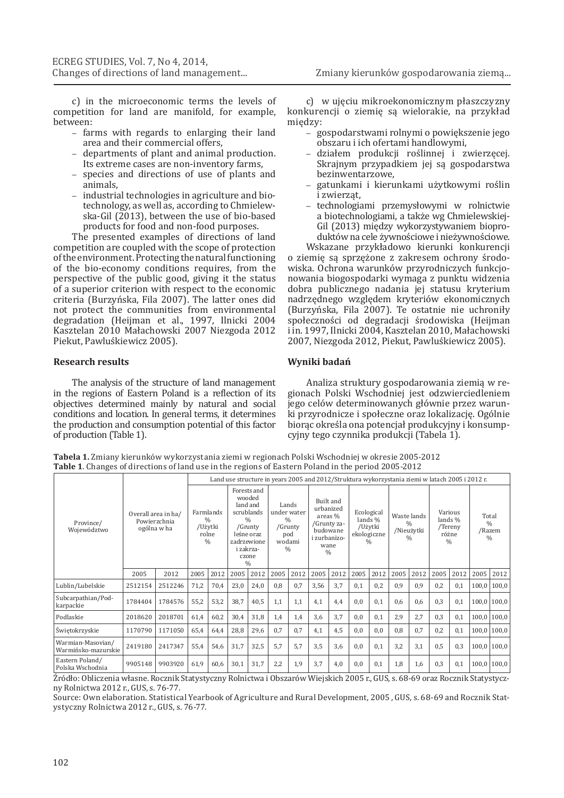Zmiany kierunków gospodarowania ziemą...

c) in the microeconomic terms the levels of competition for land are manifold, for example, between:

- farms with regards to enlarging their land area and their commercial offers,
- departments of plant and animal production. Its extreme cases are non-inventory farms,
- species and directions of use of plants and animals,
- industrial technologies in agriculture and biotechnology, as well as, according to Chmielewska-Gil (2013), between the use of bio-based products for food and non-food purposes.

The presented examples of directions of land competition are coupled with the scope of protection of the environment. Protecting the natural functioning of the bio-economy conditions requires, from the perspective of the public good, giving it the status of a superior criterion with respect to the economic criteria (Burzyńska, Fila 2007). The latter ones did not protect the communities from environmental degradation (Heijman et al., 1997, Ilnicki 2004 Kasztelan 2010 Małachowski 2007 Niezgoda 2012 Piekut, Pawluśkiewicz 2005).

#### **Research results**

The analysis of the structure of land management in the regions of Eastern Poland is a reflection of its objectives determined mainly by natural and social conditions and location. In general terms, it determines the production and consumption potential of this factor of production (Table 1).

c) w ujęciu mikroekonomicznym płaszczyzny konkurencji o ziemię są wielorakie, na przykład między:

- gospodarstwami rolnymi o powiększenie jego obszaru i ich ofertami handlowymi,
- działem produkcji roślinnej i zwierzęcej. Skrajnym przypadkiem jej są gospodarstwa bezinwentarzowe,
- gatunkami i kierunkami użytkowymi roślin i zwierząt,
- technologiami przemysłowymi w rolnictwie a biotechnologiami, a także wg Chmielewskiej-Gil (2013) między wykorzystywaniem bioproduktów na cele żywnościowe i nieżywnościowe.

Wskazane przykładowo kierunki konkurencji o ziemię są sprzężone z zakresem ochrony środowiska. Ochrona warunków przyrodniczych funkcjonowania biogospodarki wymaga z punktu widzenia dobra publicznego nadania jej statusu kryterium nadrzędnego względem kryteriów ekonomicznych (Burzyńska, Fila 2007). Te ostatnie nie uchroniły społeczności od degradacji środowiska (Heijman i in. 1997, Ilnicki 2004, Kasztelan 2010, Małachowski 2007, Niezgoda 2012, Piekut, Pawluśkiewicz 2005).

#### **Wyniki badań**

Analiza struktury gospodarowania ziemią w regionach Polski Wschodniej jest odzwierciedleniem jego celów determinowanych głównie przez warunki przyrodnicze i społeczne oraz lokalizację. Ogólnie biorąc określa ona potencjał produkcyjny i konsumpcyjny tego czynnika produkcji (Tabela 1).

**Tabela 1.** Zmiany kierunków wykorzystania ziemi w regionach Polski Wschodniej w okresie 2005-2012 **Table 1**. Changes of directions of land use in the regions of Eastern Poland in the period 2005-2012

|                                          |         |                                                    | Land use structure in years 2005 and 2012/Struktura wykorzystania ziemi w latach 2005 i 2012 r. |                                                                 |                         |                                                                                                                      |                                       |                                           |                                                                             |                        |            |                                                    |      |                                                             |         |                                              |       |                                                   |
|------------------------------------------|---------|----------------------------------------------------|-------------------------------------------------------------------------------------------------|-----------------------------------------------------------------|-------------------------|----------------------------------------------------------------------------------------------------------------------|---------------------------------------|-------------------------------------------|-----------------------------------------------------------------------------|------------------------|------------|----------------------------------------------------|------|-------------------------------------------------------------|---------|----------------------------------------------|-------|---------------------------------------------------|
| Province/<br>Województwo                 |         | Overall area in ha/<br>Powierzchnia<br>ogólna w ha |                                                                                                 | Farmlands<br>$\frac{0}{0}$<br>/Użytki<br>rolne<br>$\frac{0}{0}$ | land and<br>zadrzewione | Forests and<br>wooded<br>scrublands<br>$\frac{0}{0}$<br>/Grunty<br>leśne oraz<br>i zakrza-<br>czone<br>$\frac{0}{0}$ | $\frac{0}{0}$<br>pod<br>$\frac{0}{0}$ | Lands<br>under water<br>/Grunty<br>wodami | Built and<br>urbanized<br>budowane<br>i zurbanizo-<br>wane<br>$\frac{0}{0}$ | areas %<br>/Grunty za- | Ecological | lands %<br>/Użytki<br>ekologiczne<br>$\frac{0}{0}$ |      | Waste lands<br>$\frac{0}{0}$<br>/Nieużytki<br>$\frac{0}{0}$ | Various | lands %<br>/Tereny<br>różne<br>$\frac{0}{0}$ |       | Total<br>$\frac{0}{0}$<br>/Razem<br>$\frac{0}{0}$ |
|                                          | 2005    | 2012                                               | 2005                                                                                            | 2012                                                            | 2005                    | 2012                                                                                                                 | 2005                                  | 2012                                      | 2005                                                                        | 2012                   | 2005       | 2012                                               | 2005 | 2012                                                        | 2005    | 2012                                         | 2005  | 2012                                              |
| Lublin/Lubelskie                         | 2512154 | 2512246                                            | 71,2                                                                                            | 70,4                                                            | 23,0                    | 24,0                                                                                                                 | 0,8                                   | 0,7                                       | 3,56                                                                        | 3.7                    | 0,1        | 0,2                                                | 0,9  | 0,9                                                         | 0,2     | 0,1                                          | 100,0 | 100,0                                             |
| Subcarpathian/Pod-<br>karpackie          | 1784404 | 1784576                                            | 55,2                                                                                            | 53,2                                                            | 38,7                    | 40,5                                                                                                                 | 1,1                                   | 1,1                                       | 4.1                                                                         | 4,4                    | 0,0        | 0.1                                                | 0,6  | 0,6                                                         | 0.3     | 0.1                                          |       | $100,0$   $100,0$                                 |
| Podlaskie                                | 2018620 | 2018701                                            | 61,4                                                                                            | 60,2                                                            | 30,4                    | 31,8                                                                                                                 | 1,4                                   | 1,4                                       | 3,6                                                                         | 3.7                    | 0,0        | 0.1                                                | 2,9  | 2.7                                                         | 0.3     | 0,1                                          | 100,0 | 100,0                                             |
| Świętokrzyskie                           | 1170790 | 1171050                                            | 65,4                                                                                            | 64,4                                                            | 28,8                    | 29,6                                                                                                                 | 0.7                                   | 0.7                                       | 4,1                                                                         | 4,5                    | 0,0        | 0.0                                                | 0,8  | 0.7                                                         | 0,2     | 0.1                                          | 100,0 | 100,0                                             |
| Warmian-Masovian/<br>Warmińsko-mazurskie | 2419180 | 2417347                                            | 55,4                                                                                            | 54,6                                                            | 31,7                    | 32,5                                                                                                                 | 5.7                                   | 5.7                                       | 3,5                                                                         | 3,6                    | 0,0        | 0.1                                                | 3,2  | 3.1                                                         | 0.5     | 0.3                                          |       | $100,0$ 100,0                                     |
| Eastern Poland/<br>Polska Wschodnia      | 9905148 | 9903920                                            | 61,9                                                                                            | 60,6                                                            | 30,1                    | 31,7                                                                                                                 | 2,2                                   | 1,9                                       | 3,7                                                                         | 4,0                    | 0,0        | 0,1                                                | 1,8  | 1,6                                                         | 0,3     | 0,1                                          | 100,0 | 100,0                                             |

Źródło: Obliczenia własne. Rocznik Statystyczny Rolnictwa i Obszarów Wiejskich 2005 r., GUS, s. 68-69 oraz Rocznik Statystyczny Rolnictwa 2012 r., GUS, s. 76-77.

Source: Own elaboration. Statistical Yearbook of Agriculture and Rural Development, 2005 , GUS, s. 68-69 and Rocznik Statystyczny Rolnictwa 2012 r., GUS, s. 76-77.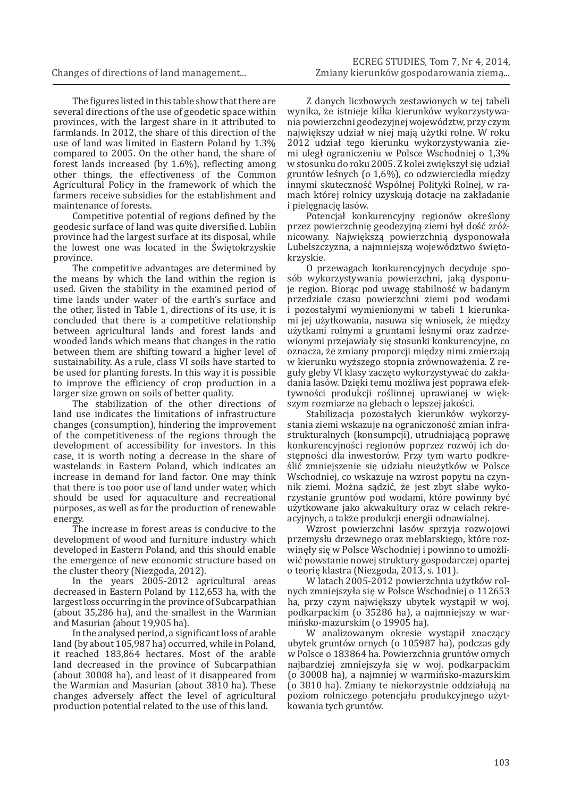The figures listed in this table show that there are several directions of the use of geodetic space within provinces, with the largest share in it attributed to farmlands. In 2012, the share of this direction of the use of land was limited in Eastern Poland by 1.3% compared to 2005. On the other hand, the share of forest lands increased (by 1.6%), reflecting among other things, the effectiveness of the Common Agricultural Policy in the framework of which the farmers receive subsidies for the establishment and maintenance of forests.

Competitive potential of regions defined by the geodesic surface of land was quite diversified. Lublin province had the largest surface at its disposal, while the lowest one was located in the Świętokrzyskie province.

The competitive advantages are determined by the means by which the land within the region is used. Given the stability in the examined period of time lands under water of the earth's surface and the other, listed in Table 1, directions of its use, it is concluded that there is a competitive relationship between agricultural lands and forest lands and wooded lands which means that changes in the ratio between them are shifting toward a higher level of sustainability. As a rule, class VI soils have started to be used for planting forests. In this way it is possible to improve the efficiency of crop production in a larger size grown on soils of better quality.

The stabilization of the other directions of land use indicates the limitations of infrastructure changes (consumption), hindering the improvement of the competitiveness of the regions through the development of accessibility for investors. In this case, it is worth noting a decrease in the share of wastelands in Eastern Poland, which indicates an increase in demand for land factor. One may think that there is too poor use of land under water, which should be used for aquaculture and recreational purposes, as well as for the production of renewable energy.

The increase in forest areas is conducive to the development of wood and furniture industry which developed in Eastern Poland, and this should enable the emergence of new economic structure based on the cluster theory (Niezgoda, 2012).

In the years 2005-2012 agricultural areas decreased in Eastern Poland by 112,653 ha, with the largest loss occurring in the province of Subcarpathian (about 35,286 ha), and the smallest in the Warmian and Masurian (about 19,905 ha).

In the analysed period, a significant loss of arable land (by about 105,987 ha) occurred, while in Poland, it reached 183,864 hectares. Most of the arable land decreased in the province of Subcarpathian (about 30008 ha), and least of it disappeared from the Warmian and Masurian (about 3810 ha). These changes adversely affect the level of agricultural production potential related to the use of this land.

Z danych liczbowych zestawionych w tej tabeli wynika, że istnieje kilka kierunków wykorzystywania powierzchni geodezyjnej województw, przy czym największy udział w niej mają użytki rolne. W roku 2012 udział tego kierunku wykorzystywania ziemi uległ ograniczeniu w Polsce Wschodniej o 1,3% w stosunku do roku 2005. Z kolei zwiększył się udział gruntów leśnych (o 1,6%), co odzwierciedla między innymi skuteczność Wspólnej Polityki Rolnej, w ramach której rolnicy uzyskują dotacje na zakładanie i pielęgnację lasów.

Potencjał konkurencyjny regionów określony przez powierzchnię geodezyjną ziemi był dość zróżnicowany. Największą powierzchnią dysponowała Lubelszczyzna, a najmniejszą województwo świętokrzyskie.

O przewagach konkurencyjnych decyduje sposób wykorzystywania powierzchni, jaką dysponuje region. Biorąc pod uwagę stabilność w badanym przedziale czasu powierzchni ziemi pod wodami i pozostałymi wymienionymi w tabeli 1 kierunkami jej użytkowania, nasuwa się wniosek, że między użytkami rolnymi a gruntami leśnymi oraz zadrzewionymi przejawiały się stosunki konkurencyjne, co oznacza, że zmiany proporcji między nimi zmierzają w kierunku wyższego stopnia zrównoważenia. Z reguły gleby VI klasy zaczęto wykorzystywać do zakładania lasów. Dzięki temu możliwa jest poprawa efektywności produkcji roślinnej uprawianej w większym rozmiarze na glebach o lepszej jakości.

Stabilizacja pozostałych kierunków wykorzystania ziemi wskazuje na ograniczoność zmian infrastrukturalnych (konsumpcji), utrudniającą poprawę konkurencyjności regionów poprzez rozwój ich dostępności dla inwestorów. Przy tym warto podkreślić zmniejszenie się udziału nieużytków w Polsce Wschodniej, co wskazuje na wzrost popytu na czynnik ziemi. Można sądzić, że jest zbyt słabe wykorzystanie gruntów pod wodami, które powinny być użytkowane jako akwakultury oraz w celach rekreacyjnych, a także produkcji energii odnawialnej.

Wzrost powierzchni lasów sprzyja rozwojowi przemysłu drzewnego oraz meblarskiego, które rozwinęły się w Polsce Wschodniej i powinno to umożliwić powstanie nowej struktury gospodarczej opartej o teorię klastra (Niezgoda, 2013, s. 101).

W latach 2005-2012 powierzchnia użytków rolnych zmniejszyła się w Polsce Wschodniej o 112653 ha, przy czym największy ubytek wystąpił w woj. podkarpackim (o 35286 ha), a najmniejszy w warmińsko-mazurskim (o 19905 ha).

W analizowanym okresie wystąpił znaczący ubytek gruntów ornych (o 105987 ha), podczas gdy w Polsce o 183864 ha. Powierzchnia gruntów ornych najbardziej zmniejszyła się w woj. podkarpackim (o 30008 ha), a najmniej w warmińsko-mazurskim (o 3810 ha). Zmiany te niekorzystnie oddziałują na poziom rolniczego potencjału produkcyjnego użytkowania tych gruntów.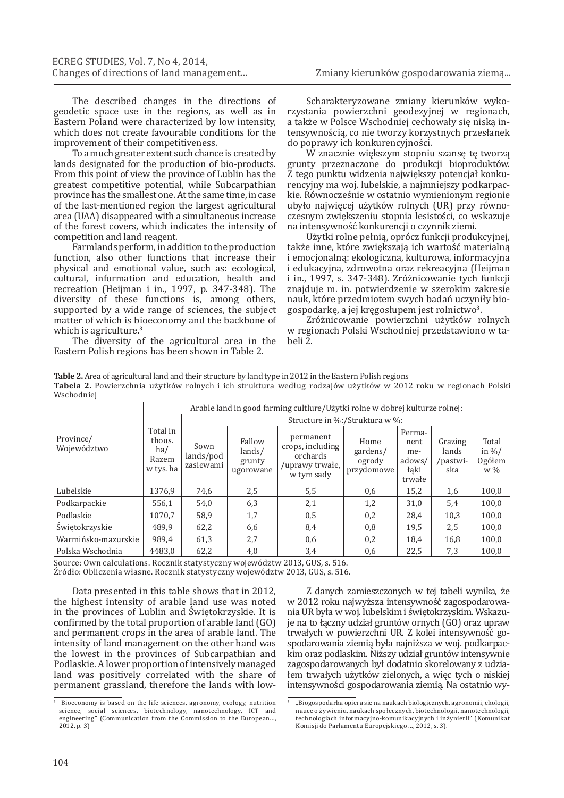The described changes in the directions of geodetic space use in the regions, as well as in Eastern Poland were characterized by low intensity, which does not create favourable conditions for the improvement of their competitiveness.

To a much greater extent such chance is created by lands designated for the production of bio-products. From this point of view the province of Lublin has the greatest competitive potential, while Subcarpathian province has the smallest one. At the same time, in case of the last-mentioned region the largest agricultural area (UAA) disappeared with a simultaneous increase of the forest covers, which indicates the intensity of competition and land reagent.

Farmlands perform, in addition to the production function, also other functions that increase their physical and emotional value, such as: ecological, cultural, information and education, health and recreation (Heijman i in., 1997, p. 347-348). The diversity of these functions is, among others, supported by a wide range of sciences, the subject matter of which is bioeconomy and the backbone of which is agriculture.<sup>3</sup>

The diversity of the agricultural area in the Eastern Polish regions has been shown in Table 2.

Scharakteryzowane zmiany kierunków wykorzystania powierzchni geodezyjnej w regionach, a także w Polsce Wschodniej cechowały się niską intensywnością, co nie tworzy korzystnych przesłanek do poprawy ich konkurencyjności.

W znacznie większym stopniu szansę tę tworzą grunty przeznaczone do produkcji bioproduktów. Z tego punktu widzenia największy potencjał konkurencyjny ma woj. lubelskie, a najmniejszy podkarpackie. Równocześnie w ostatnio wymienionym regionie ubyło najwięcej użytków rolnych (UR) przy równoczesnym zwiększeniu stopnia lesistości, co wskazuje na intensywność konkurencji o czynnik ziemi.

Użytki rolne pełnią, oprócz funkcji produkcyjnej, także inne, które zwiększają ich wartość materialną i emocjonalną: ekologiczna, kulturowa, informacyjna i edukacyjna, zdrowotna oraz rekreacyjna (Heijman i in., 1997, s. 347-348). Zróżnicowanie tych funkcji znajduje m. in. potwierdzenie w szerokim zakresie nauk, które przedmiotem swych badań uczyniły biogospodarkę, a jej kręgosłupem jest rolnictwo<sup>3</sup>.

Zróżnicowanie powierzchni użytków rolnych w regionach Polski Wschodniej przedstawiono w tabeli 2.

**Table 2.** Area of agricultural land and their structure by land type in 2012 in the Eastern Polish regions **Tabela 2.** Powierzchnia użytków rolnych i ich struktura według rodzajów użytków w 2012 roku w regionach Polski Wschodniej

|                          | Arable land in good farming cultlure/Uzytki rolne w dobrej kulturze rolnej: |                                                                           |     |                                                                            |                                          |                                                   |                                     |                                              |  |  |  |  |  |
|--------------------------|-----------------------------------------------------------------------------|---------------------------------------------------------------------------|-----|----------------------------------------------------------------------------|------------------------------------------|---------------------------------------------------|-------------------------------------|----------------------------------------------|--|--|--|--|--|
|                          |                                                                             | Structure in %:/Struktura w %:                                            |     |                                                                            |                                          |                                                   |                                     |                                              |  |  |  |  |  |
| Province/<br>Województwo | Total in<br>thous.<br>ha/<br>Razem<br>w tys. ha                             | Fallow<br>Sown<br>lands/<br>lands/pod<br>grunty<br>zasiewami<br>ugorowane |     | permanent<br>crops, including<br>orchards<br>/uprawy trwałe,<br>w tym sady | Home<br>gardens/<br>ogrody<br>przydomowe | Perma-<br>nent<br>me-<br>adows/<br>łaki<br>trwałe | Grazing<br>lands<br>/pastwi-<br>ska | Total<br>in $\frac{9}{6}$<br>Ogółem<br>$w\%$ |  |  |  |  |  |
| Lubelskie                | 1376.9                                                                      | 74,6                                                                      | 2,5 | 5,5                                                                        | 0,6                                      | 15,2                                              | 1,6                                 | 100,0                                        |  |  |  |  |  |
| Podkarpackie             | 556,1                                                                       | 54,0                                                                      | 6,3 | 2,1                                                                        | 1,2                                      | 31,0                                              | 5,4                                 | 100,0                                        |  |  |  |  |  |
| Podlaskie                | 1070.7                                                                      | 58,9                                                                      | 1,7 | 0,5                                                                        | 0,2                                      | 28,4                                              | 10,3                                | 100,0                                        |  |  |  |  |  |
| Świętokrzyskie           | 489.9                                                                       | 62,2                                                                      | 6,6 | 8,4                                                                        | 0,8                                      | 19,5                                              | 2,5                                 | 100,0                                        |  |  |  |  |  |
| Warmińsko-mazurskie      | 989,4                                                                       | 61,3                                                                      | 2,7 | 0,6                                                                        | 0,2                                      | 18,4                                              | 16,8                                | 100,0                                        |  |  |  |  |  |
| Polska Wschodnia         | 4483.0                                                                      | 62,2                                                                      | 4,0 | 3,4                                                                        | 0,6                                      | 22,5                                              | 7,3                                 | 100,0                                        |  |  |  |  |  |

Source: Own calculations. Rocznik statystyczny województw 2013, GUS, s. 516.

Źródło: Obliczenia własne. Rocznik statystyczny województw 2013, GUS, s. 516.

Data presented in this table shows that in 2012, the highest intensity of arable land use was noted in the provinces of Lublin and Świętokrzyskie. It is confirmed by the total proportion of arable land (GO) and permanent crops in the area of arable land. The intensity of land management on the other hand was the lowest in the provinces of Subcarpathian and Podlaskie. A lower proportion of intensively managed land was positively correlated with the share of permanent grassland, therefore the lands with low-

Z danych zamieszczonych w tej tabeli wynika, że w 2012 roku najwyższa intensywność zagospodarowania UR była w woj. lubelskim i świętokrzyskim. Wskazuje na to łączny udział gruntów ornych (GO) oraz upraw trwałych w powierzchni UR. Z kolei intensywność gospodarowania ziemią była najniższa w woj. podkarpackim oraz podlaskim. Niższy udział gruntów intensywnie zagospodarowanych był dodatnio skorelowany z udziałem trwałych użytków zielonych, a więc tych o niskiej intensywności gospodarowania ziemią. Na ostatnio wy-

Bioeconomy is based on the life sciences, agronomy, ecology, nutrition science, social sciences, biotechnology, nanotechnology, ICT and engineering" (Communication from the Commission to the European..., 2012, p. 3)

<sup>&</sup>quot;Biogospodarka opiera się na naukach biologicznych, agronomii, ekologii, nauce o żywieniu, naukach społecznych, biotechnologii, nanotechnologii, technologiach informacyjno-komunikacyjnych i inżynierii" (Komunikat Komisji do Parlamentu Europejskiego ..., 2012, s. 3).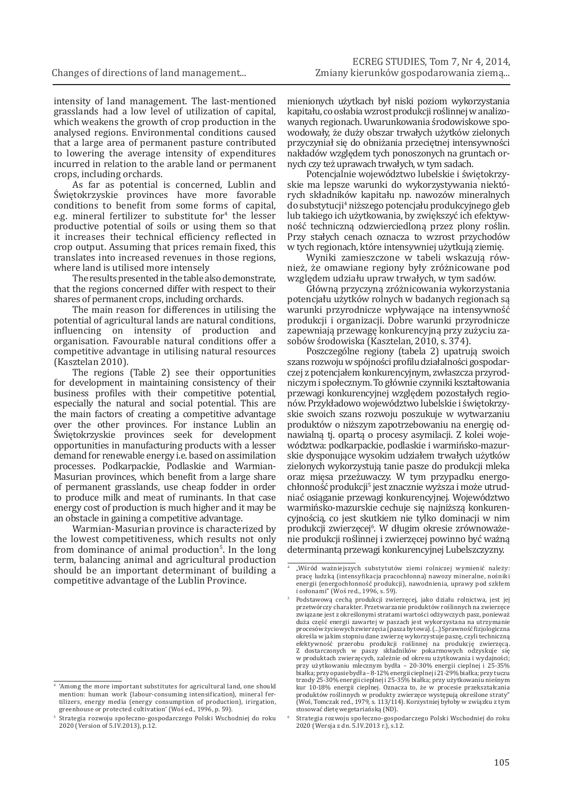intensity of land management. The last-mentioned grasslands had a low level of utilization of capital, which weakens the growth of crop production in the analysed regions. Environmental conditions caused that a large area of permanent pasture contributed to lowering the average intensity of expenditures incurred in relation to the arable land or permanent crops, including orchards.

As far as potential is concerned, Lublin and Świętokrzyskie provinces have more favorable conditions to benefit from some forms of capital, e.g. mineral fertilizer to substitute for  $\frac{4}{10}$  the lesser productive potential of soils or using them so that it increases their technical efficiency reflected in crop output. Assuming that prices remain fixed, this translates into increased revenues in those regions, where land is utilised more intensely

The results presented in the table also demonstrate, that the regions concerned differ with respect to their shares of permanent crops, including orchards.

The main reason for differences in utilising the potential of agricultural lands are natural conditions,<br>influencing on intensity of production and influencing on intensity of production organisation. Favourable natural conditions offer a competitive advantage in utilising natural resources (Kasztelan 2010).

The regions (Table 2) see their opportunities for development in maintaining consistency of their business profiles with their competitive potential, especially the natural and social potential. This are the main factors of creating a competitive advantage over the other provinces. For instance Lublin an Świętokrzyskie provinces seek for development opportunities in manufacturing products with a lesser demand for renewable energy i.e. based on assimilation processes. Podkarpackie, Podlaskie and Warmian-Masurian provinces, which benefit from a large share of permanent grasslands, use cheap fodder in order to produce milk and meat of ruminants. In that case energy cost of production is much higher and it may be an obstacle in gaining a competitive advantage.

Warmian-Masurian province is characterized by the lowest competitiveness, which results not only from dominance of animal production<sup>5</sup>. In the long term, balancing animal and agricultural production should be an important determinant of building a competitive advantage of the Lublin Province.

mienionych użytkach był niski poziom wykorzystania kapitału, co osłabia wzrost produkcji roślinnej wanalizowanych regionach. Uwarunkowania środowiskowe spowodowały, że duży obszar trwałych użytków zielonych przyczyniał się do obniżania przeciętnej intensywności nakładów względem tych ponoszonych na gruntach ornych czy też uprawach trwałych, w tym sadach.

Potencjalnie województwo lubelskie i świętokrzyskie ma lepsze warunki do wykorzystywania niektórych składników kapitału np. nawozów mineralnych do substytucji4 niższego potencjału produkcyjnego gleb lub takiego ich użytkowania, by zwiększyć ich efektywność techniczną odzwierciedloną przez plony roślin. Przy stałych cenach oznacza to wzrost przychodów w tych regionach, które intensywniej użytkują ziemię.

Wyniki zamieszczone w tabeli wskazują również, że omawiane regiony były zróżnicowane pod względem udziału upraw trwałych, w tym sadów.

Główną przyczyną zróżnicowania wykorzystania potencjału użytków rolnych w badanych regionach są warunki przyrodnicze wpływające na intensywność produkcji i organizacji. Dobre warunki przyrodnicze zapewniają przewagę konkurencyjną przy zużyciu zasobów środowiska (Kasztelan, 2010, s. 374).

Poszczególne regiony (tabela 2) upatrują swoich szans rozwoju wspójności profilu działalności gospodarczej z potencjałem konkurencyjnym, zwłaszcza przyrodniczym i społecznym. To głównie czynniki kształtowania przewagi konkurencyjnej względem pozostałych regionów. Przykładowo województwo lubelskie i świętokrzyskie swoich szans rozwoju poszukuje w wytwarzaniu produktów o niższym zapotrzebowaniu na energię odnawialną tj. opartą o procesy asymilacji. Z kolei województwa: podkarpackie, podlaskie i warmińsko-mazurskie dysponujące wysokim udziałem trwałych użytków zielonych wykorzystują tanie pasze do produkcji mleka oraz mięsa przeżuwaczy. W tym przypadku energochłonność produkcji5 jest znacznie wyższa i może utrudniać osiąganie przewagi konkurencyjnej. Województwo warmińsko-mazurskie cechuje się najniższą konkurencyjnością, co jest skutkiem nie tylko dominacji w nim produkcji zwierzęcej6 . W długim okresie zrównoważenie produkcji roślinnej i zwierzęcej powinno być ważną determinantą przewagi konkurencyjnej Lubelszczyzny.

<sup>6</sup> Strategia rozwoju społeczno-gospodarczego Polski Wschodniej do roku 2020 (Wersja z dn. 5.IV.2013 r.), s.12.

<sup>4</sup> 'Among the more important substitutes for agricultural land, one should mention: human work (labour-consuming intensification), mineral fertilizers, energy media (energy consumption of production), irirgation, greenhouse or protected cultivation' (Woś ed., 1996, p. 59).

<sup>5</sup> Strategia rozwoju społeczno-gospodarczego Polski Wschodniej do roku 2020 (Version of 5.IV.2013), p.12.

<sup>&</sup>quot;Wśród ważniejszych substytutów ziemi rolniczej wymienić należy: pracę ludzką (intensyfikacja pracochłonna) nawozy mineralne, nośniki energii (energochłonność produkcji), nawodnienia, uprawy pod szkłem i osłonami" (Woś red., 1996, s. 59).

<sup>5</sup> Podstawową cechą produkcji zwierzęcej, jako działu rolnictwa, jest jej przetwórczy charakter. Przetwarzanie produktów roślinnych na zwierzęce związane jest z określonymi stratami wartości odżywczych pasz, ponieważ duża część energii zawartej w paszach jest wykorzystana na utrzymanie procesów życiowych zwierzęcia (pasza bytowa). (...) Sprawność fizjologiczna określa w jakim stopniu dane zwierzę wykorzystuje paszę, czyli techniczną efektywność przerobu produkcji roślinnej na produkcję zwierzęcą. Z dostarczonych w paszy składników pokarmowych odzyskuje się w produktach zwierzęcych, zależnie od okresu użytkowania i wydajności; przy użytkowaniu mlecznym bydła – 20-30% energii cieplnej i 25-35% białka; przy opasie bydła – 8-12% energii cieplnej i21-29% białka; przy tuczu trzody 25-30% energii cieplnej i 25-35% białka; przy użytkowaniu nieśnym kur 10-18% energii cieplnej. Oznacza to, że w procesie przekształcania produktów roślinnych w produkty zwierzęce występują określone straty" (Woś, Tomczak red., 1979, s. 113/114). Korzystniej byłoby w związku z tym stosować dietę wegetariańską (ND).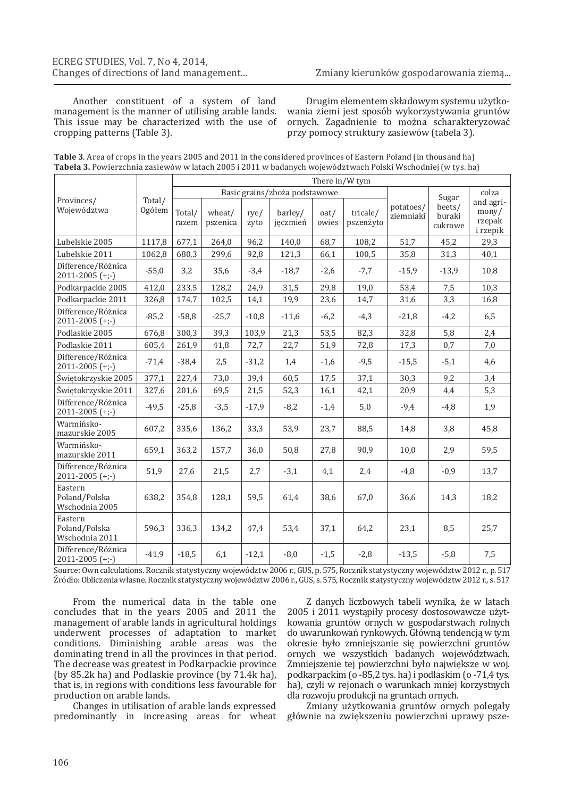Another constituent of a system of land management is the manner of utilising arable lands. This issue may be characterized with the use of cropping patterns (Table 3).

Drugim elementem składowym systemu użytkowania ziemi jest sposób wykorzystywania gruntów ornych. Zagadnienie to można scharakteryzować przy pomocy struktury zasiewów (tabela 3).

| <b>Table 3</b> . Area of crops in the years 2005 and 2011 in the considered provinces of Eastern Poland (in thousand ha) |
|--------------------------------------------------------------------------------------------------------------------------|
| <b>Tabela 3.</b> Powierzchnia zasiewów w latach 2005 i 2011 w badanych województwach Polski Wschodniej (w tys. ha)       |

|                                            |                  | There in/W tym  |                                                                                                                                      |         |                        |                                      |                                                   |         |         |      |  |  |  |
|--------------------------------------------|------------------|-----------------|--------------------------------------------------------------------------------------------------------------------------------------|---------|------------------------|--------------------------------------|---------------------------------------------------|---------|---------|------|--|--|--|
| Provinces/<br>Województwa                  | Total/<br>Ogółem | Total/<br>razem | Basic grains/zboża podstawowe<br>wheat/<br>barley/<br>oat/<br>tricale/<br>rye/<br>jeczmień<br>pszenica<br>owies<br>pszenżyto<br>żyto |         | potatoes/<br>ziemniaki | Sugar<br>beets/<br>buraki<br>cukrowe | colza<br>and agri-<br>mony/<br>rzepak<br>i rzepik |         |         |      |  |  |  |
| Lubelskie 2005                             | 1117,8           | 677,1           | 264,0                                                                                                                                | 96,2    | 140,0                  | 68,7                                 | 108,2                                             | 51,7    | 45,2    | 29,3 |  |  |  |
| Lubelskie 2011                             | 1062,8           | 680,3           | 299,6                                                                                                                                | 92,8    | 121,3                  | 66,1                                 | 100,5                                             | 35,8    | 31,3    | 40,1 |  |  |  |
| Difference/Różnica<br>$2011 - 2005$ (+;-)  | $-55,0$          | 3,2             | 35,6                                                                                                                                 | $-3,4$  | $-18,7$                | $-2,6$                               | $-7,7$                                            | $-15,9$ | $-13,9$ | 10,8 |  |  |  |
| Podkarpackie 2005                          | 412,0            | 233,5           | 128,2                                                                                                                                | 24,9    | 31,5                   | 29,8                                 | 19,0                                              | 53,4    | 7,5     | 10,3 |  |  |  |
| Podkarpackie 2011                          | 326,8            | 174,7           | 102,5                                                                                                                                | 14,1    | 19,9                   | 23,6                                 | 14,7                                              | 31,6    | 3,3     | 16,8 |  |  |  |
| Difference/Różnica<br>$2011 - 2005$ (+;-)  | $-85,2$          | $-58,8$         | $-25,7$                                                                                                                              | $-10,8$ | $-11,6$                | $-6,2$                               | $-4,3$                                            | $-21,8$ | $-4,2$  | 6,5  |  |  |  |
| Podlaskie 2005                             | 676,8            | 300,3           | 39,3                                                                                                                                 | 103,9   | 21,3                   | 53,5                                 | 82,3                                              | 32,8    | 5,8     | 2,4  |  |  |  |
| Podlaskie 2011                             | 605,4            | 261,9           | 41,8                                                                                                                                 | 72,7    | 22,7                   | 51,9                                 | 72,8                                              | 17,3    | 0,7     | 7,0  |  |  |  |
| Difference/Różnica<br>$2011 - 2005$ (+;-)  | $-71,4$          | $-38,4$         | 2,5                                                                                                                                  | $-31,2$ | 1,4                    | $-1,6$                               | $-9,5$                                            | $-15,5$ | $-5,1$  | 4,6  |  |  |  |
| Świętokrzyskie 2005                        | 377,1            | 227,4           | 73,0                                                                                                                                 | 39,4    | 60,5                   | 17,5                                 | 37,1                                              | 30,3    | 9,2     | 3,4  |  |  |  |
| Świętokrzyskie 2011                        | 327,6            | 201,6           | 69,5                                                                                                                                 | 21,5    | 52,3                   | 16,1                                 | 42,1                                              | 20,9    | 4,4     | 5,3  |  |  |  |
| Difference/Różnica<br>$2011 - 2005$ (+;-)  | $-49,5$          | $-25,8$         | $-3,5$                                                                                                                               | $-17,9$ | $-8,2$                 | $-1,4$                               | 5,0                                               | $-9,4$  | $-4,8$  | 1,9  |  |  |  |
| Warmińsko-<br>mazurskie 2005               | 607,2            | 335,6           | 136,2                                                                                                                                | 33,3    | 53,9                   | 23,7                                 | 88,5                                              | 14,8    | 3,8     | 45,8 |  |  |  |
| Warmińsko-<br>mazurskie 2011               | 659,1            | 363,2           | 157,7                                                                                                                                | 36,0    | 50,8                   | 27,8                                 | 90,9                                              | 10,0    | 2,9     | 59,5 |  |  |  |
| Difference/Różnica<br>$2011 - 2005$ (+;-)  | 51,9             | 27,6            | 21,5                                                                                                                                 | 2,7     | $-3,1$                 | 4,1                                  | 2,4                                               | $-4,8$  | $-0,9$  | 13,7 |  |  |  |
| Eastern<br>Poland/Polska<br>Wschodnia 2005 | 638,2            | 354,8           | 128,1                                                                                                                                | 59,5    | 61,4                   | 38,6                                 | 67,0                                              | 36,6    | 14,3    | 18,2 |  |  |  |
| Eastern<br>Poland/Polska<br>Wschodnia 2011 | 596,3            | 336,3           | 134,2                                                                                                                                | 47,4    | 53,4                   | 37,1                                 | 64,2                                              | 23,1    | 8,5     | 25,7 |  |  |  |
| Difference/Różnica<br>$2011 - 2005$ (+;-)  | $-41,9$          | $-18,5$         | 6,1                                                                                                                                  | $-12,1$ | $-8,0$                 | $-1,5$                               | $-2,8$                                            | $-13,5$ | $-5,8$  | 7,5  |  |  |  |

Source: Own calculations. Rocznik statystyczny województw 2006 r., GUS, p. 575, Rocznik statystyczny województw 2012 r., p. 517 Źródło: Obliczenia własne. Rocznik statystyczny województw 2006 r., GUS, s. 575, Rocznik statystyczny województw 2012 r., s. 517

From the numerical data in the table one concludes that in the years 2005 and 2011 the management of arable lands in agricultural holdings underwent processes of adaptation to market conditions. Diminishing arable areas was the dominating trend in all the provinces in that period. The decrease was greatest in Podkarpackie province (by 85.2k ha) and Podlaskie province (by 71.4k ha), that is, in regions with conditions less favourable for production on arable lands.

Changes in utilisation of arable lands expressed predominantly in increasing areas for wheat

Z danych liczbowych tabeli wynika, że w latach 2005 i 2011 wystąpiły procesy dostosowawcze użytkowania gruntów ornych w gospodarstwach rolnych do uwarunkowań rynkowych. Główną tendencją w tym okresie było zmniejszanie się powierzchni gruntów ornych we wszystkich badanych województwach. Zmniejszenie tej powierzchni było największe w woj. podkarpackim (o -85,2 tys. ha) i podlaskim (o -71,4 tys. ha), czyli w rejonach o warunkach mniej korzystnych dla rozwoju produkcji na gruntach ornych.

Zmiany użytkowania gruntów ornych polegały głównie na zwiększeniu powierzchni uprawy psze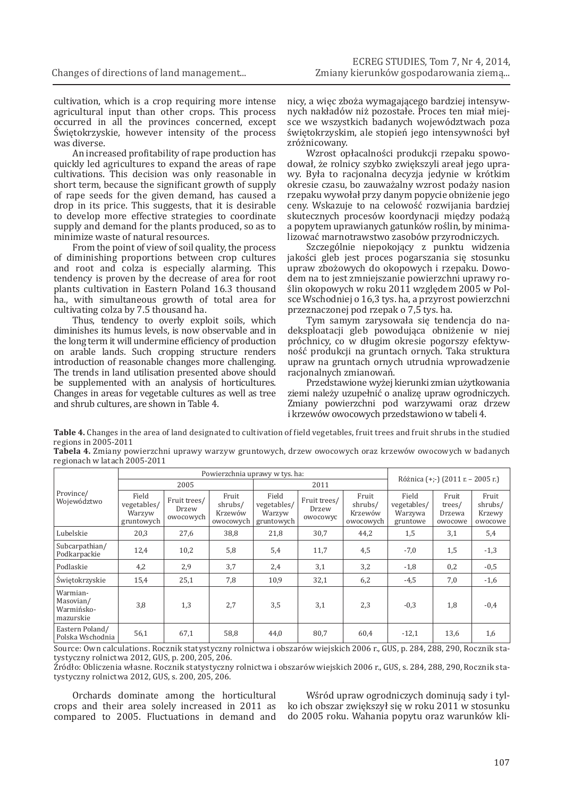cultivation, which is a crop requiring more intense agricultural input than other crops. This process occurred in all the provinces concerned, except Świętokrzyskie, however intensity of the process was diverse.

An increased profitability of rape production has quickly led agricultures to expand the areas of rape cultivations. This decision was only reasonable in short term, because the significant growth of supply of rape seeds for the given demand, has caused a drop in its price. This suggests, that it is desirable to develop more effective strategies to coordinate supply and demand for the plants produced, so as to minimize waste of natural resources.

From the point of view of soil quality, the process of diminishing proportions between crop cultures and root and colza is especially alarming. This tendency is proven by the decrease of area for root plants cultivation in Eastern Poland 16.3 thousand ha., with simultaneous growth of total area for cultivating colza by 7.5 thousand ha.

Thus, tendency to overly exploit soils, which diminishes its humus levels, is now observable and in the long term it will undermine efficiency of production on arable lands. Such cropping structure renders introduction of reasonable changes more challenging. The trends in land utilisation presented above should be supplemented with an analysis of horticultures. Changes in areas for vegetable cultures as well as tree and shrub cultures, are shown in Table 4.

nicy, a więc zboża wymagającego bardziej intensywnych nakładów niż pozostałe. Proces ten miał miejsce we wszystkich badanych województwach poza świętokrzyskim, ale stopień jego intensywności był zróżnicowany.

Wzrost opłacalności produkcji rzepaku spowodował, że rolnicy szybko zwiększyli areał jego uprawy. Była to racjonalna decyzja jedynie w krótkim okresie czasu, bo zauważalny wzrost podaży nasion rzepaku wywołał przy danym popycie obniżenie jego ceny. Wskazuje to na celowość rozwijania bardziej skutecznych procesów koordynacji między podażą a popytem uprawianych gatunków roślin, by minimalizować marnotrawstwo zasobów przyrodniczych.

Szczególnie niepokojący z punktu widzenia jakości gleb jest proces pogarszania się stosunku upraw zbożowych do okopowych i rzepaku. Dowodem na to jest zmniejszanie powierzchni uprawy roślin okopowych w roku 2011 względem 2005 w Polsce Wschodniej o 16,3 tys. ha, a przyrost powierzchni przeznaczonej pod rzepak o 7,5 tys. ha.

Tym samym zarysowała się tendencja do nadeksploatacji gleb powodująca obniżenie w niej próchnicy, co w długim okresie pogorszy efektywność produkcji na gruntach ornych. Taka struktura upraw na gruntach ornych utrudnia wprowadzenie racjonalnych zmianowań.

Przedstawione wyżej kierunki zmian użytkowania ziemi należy uzupełnić o analizę upraw ogrodniczych. Zmiany powierzchni pod warzywami oraz drzew i krzewów owocowych przedstawiono w tabeli 4.

**Table 4.** Changes in the area of land designated to cultivation of field vegetables, fruit trees and fruit shrubs in the studied regions in 2005-2011

**Tabela 4.** Zmiany powierzchni uprawy warzyw gruntowych, drzew owocowych oraz krzewów owocowych w badanych regionach w latach 2005-2011

|                                                  |                                              | Powierzchnia uprawy w tys. ha:     | Różnica (+;-) (2011 r. – 2005 r.)        |                                              |                                   |                                          |                                             |                                      |                                       |  |
|--------------------------------------------------|----------------------------------------------|------------------------------------|------------------------------------------|----------------------------------------------|-----------------------------------|------------------------------------------|---------------------------------------------|--------------------------------------|---------------------------------------|--|
|                                                  |                                              | 2005                               |                                          |                                              | 2011                              |                                          |                                             |                                      |                                       |  |
| Province/<br>Województwo                         | Field<br>vegetables/<br>Warzyw<br>gruntowych | Fruit trees/<br>Drzew<br>owocowych | Fruit<br>shrubs/<br>Krzewów<br>owocowych | Field<br>vegetables/<br>Warzyw<br>gruntowych | Fruit trees/<br>Drzew<br>owocowyc | Fruit<br>shrubs/<br>Krzewów<br>owocowych | Field<br>vegetables/<br>Warzywa<br>gruntowe | Fruit<br>trees/<br>Drzewa<br>owocowe | Fruit<br>shrubs/<br>Krzewy<br>owocowe |  |
| Lubelskie                                        | 20,3                                         | 27,6                               | 38,8                                     | 21,8                                         | 30,7                              | 44,2                                     | 1,5                                         | 3,1                                  | 5,4                                   |  |
| Subcarpathian/<br>Podkarpackie                   | 12,4                                         | 10,2                               | 5,8                                      | 5,4                                          | 11,7                              | 4,5                                      | $-7,0$                                      | 1,5                                  | $-1,3$                                |  |
| Podlaskie                                        | 4,2                                          | 2,9                                | 3,7                                      | 2.4                                          | 3,1                               | 3,2                                      | $-1,8$                                      | 0,2                                  | $-0,5$                                |  |
| Świętokrzyskie                                   | 15,4                                         | 25,1                               | 7,8                                      | 10,9                                         | 32,1                              | 6,2                                      | $-4,5$                                      | 7,0                                  | $-1,6$                                |  |
| Warmian-<br>Masovian/<br>Warmińsko-<br>mazurskie | 3,8                                          | 1,3                                | 2,7                                      | 3,5                                          | 3,1                               | 2,3                                      | $-0,3$                                      | 1,8                                  | $-0.4$                                |  |
| Eastern Poland/<br>Polska Wschodnia              | 56,1                                         | 67,1                               | 58,8                                     | 44,0                                         | 80,7                              | 60,4                                     | $-12,1$                                     | 13,6                                 | 1,6                                   |  |

Source: Own calculations. Rocznik statystyczny rolnictwa i obszarów wiejskich 2006 r., GUS, p. 284, 288, 290, Rocznik statystyczny rolnictwa 2012, GUS, p. 200, 205, 206.

Źródło: Obliczenia własne. Rocznik statystyczny rolnictwa i obszarów wiejskich 2006 r., GUS, s. 284, 288, 290, Rocznik statystyczny rolnictwa 2012, GUS, s. 200, 205, 206.

Orchards dominate among the horticultural crops and their area solely increased in 2011 as compared to 2005. Fluctuations in demand and

Wśród upraw ogrodniczych dominują sady i tylko ich obszar zwiększył się w roku 2011 w stosunku do 2005 roku. Wahania popytu oraz warunków kli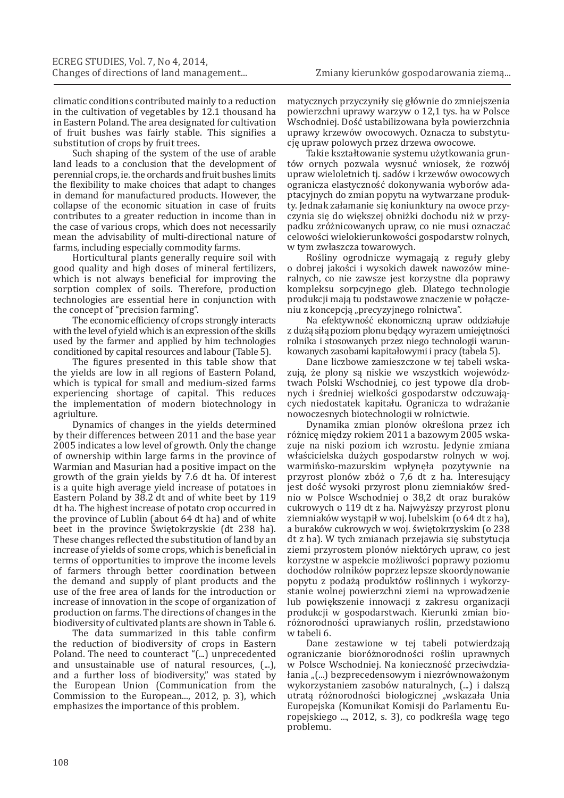climatic conditions contributed mainly to a reduction in the cultivation of vegetables by 12.1 thousand ha in Eastern Poland. The area designated for cultivation of fruit bushes was fairly stable. This signifies a substitution of crops by fruit trees.

Such shaping of the system of the use of arable land leads to a conclusion that the development of perennial crops, ie. the orchards and fruit bushes limits the flexibility to make choices that adapt to changes in demand for manufactured products. However, the collapse of the economic situation in case of fruits contributes to a greater reduction in income than in the case of various crops, which does not necessarily mean the advisability of multi-directional nature of farms, including especially commodity farms.

Horticultural plants generally require soil with good quality and high doses of mineral fertilizers, which is not always beneficial for improving the sorption complex of soils. Therefore, production technologies are essential here in conjunction with the concept of "precision farming".

The economic efficiency of crops strongly interacts with the level of yield which is an expression of the skills used by the farmer and applied by him technologies conditioned by capital resources and labour (Table 5).

The figures presented in this table show that the yields are low in all regions of Eastern Poland, which is typical for small and medium-sized farms experiencing shortage of capital. This reduces the implementation of modern biotechnology in agriulture.

Dynamics of changes in the yields determined by their differences between 2011 and the base year 2005 indicates a low level of growth. Only the change of ownership within large farms in the province of Warmian and Masurian had a positive impact on the growth of the grain yields by 7.6 dt ha. Of interest is a quite high average yield increase of potatoes in Eastern Poland by 38.2 dt and of white beet by 119 dt ha. The highest increase of potato crop occurred in the province of Lublin (about 64 dt ha) and of white beet in the province Świętokrzyskie (dt 238 ha). These changes reflected the substitution of land by an increase of yields of some crops, which is beneficial in terms of opportunities to improve the income levels of farmers through better coordination between the demand and supply of plant products and the use of the free area of lands for the introduction or increase of innovation in the scope of organization of production on farms. The directions of changes in the biodiversity of cultivated plants are shown in Table 6.

The data summarized in this table confirm the reduction of biodiversity of crops in Eastern Poland. The need to counteract "(...) unprecedented and unsustainable use of natural resources, (...), and a further loss of biodiversity," was stated by the European Union (Communication from the Commission to the European..., 2012, p. 3), which emphasizes the importance of this problem.

matycznych przyczyniły się głównie do zmniejszenia powierzchni uprawy warzyw o 12,1 tys. ha w Polsce Wschodniej. Dość ustabilizowana była powierzchnia uprawy krzewów owocowych. Oznacza to substytucję upraw polowych przez drzewa owocowe.

Takie kształtowanie systemu użytkowania gruntów ornych pozwala wysnuć wniosek, że rozwój upraw wieloletnich tj. sadów i krzewów owocowych ogranicza elastyczność dokonywania wyborów adaptacyjnych do zmian popytu na wytwarzane produkty. Jednak załamanie się koniunktury na owoce przyczynia się do większej obniżki dochodu niż w przypadku zróżnicowanych upraw, co nie musi oznaczać celowości wielokierunkowości gospodarstw rolnych, w tym zwłaszcza towarowych.

Rośliny ogrodnicze wymagają z reguły gleby o dobrej jakości i wysokich dawek nawozów mineralnych, co nie zawsze jest korzystne dla poprawy kompleksu sorpcyjnego gleb. Dlatego technologie produkcji mają tu podstawowe znaczenie w połączeniu z koncepcją "precyzyjnego rolnictwa".

Na efektywność ekonomiczną upraw oddziałuje z dużą siłą poziom plonu będący wyrazem umiejętności rolnika i stosowanych przez niego technologii warunkowanych zasobami kapitałowymi i pracy (tabela 5).

Dane liczbowe zamieszczone w tej tabeli wskazują, że plony są niskie we wszystkich województwach Polski Wschodniej, co jest typowe dla drobnych i średniej wielkości gospodarstw odczuwających niedostatek kapitału. Ogranicza to wdrażanie nowoczesnych biotechnologii w rolnictwie.

Dynamika zmian plonów określona przez ich różnicę między rokiem 2011 a bazowym 2005 wskazuje na niski poziom ich wzrostu. Jedynie zmiana właścicielska dużych gospodarstw rolnych w woj. warmińsko-mazurskim wpłynęła pozytywnie na przyrost plonów zbóż o 7,6 dt z ha. Interesujący jest dość wysoki przyrost plonu ziemniaków średnio w Polsce Wschodniej o 38,2 dt oraz buraków cukrowych o 119 dt z ha. Najwyższy przyrost plonu ziemniaków wystąpił w woj. lubelskim (o 64 dt z ha), a buraków cukrowych w woj. świętokrzyskim (o 238 dt z ha). W tych zmianach przejawia się substytucja ziemi przyrostem plonów niektórych upraw, co jest korzystne w aspekcie możliwości poprawy poziomu dochodów rolników poprzez lepsze skoordynowanie popytu z podażą produktów roślinnych i wykorzystanie wolnej powierzchni ziemi na wprowadzenie lub powiększenie innowacji z zakresu organizacji produkcji w gospodarstwach. Kierunki zmian bioróżnorodności uprawianych roślin, przedstawiono w tabeli 6.

Dane zestawione w tej tabeli potwierdzają ograniczanie bioróżnorodności roślin uprawnych w Polsce Wschodniej. Na konieczność przeciwdziałania "(...) bezprecedensowym i niezrównoważonym wykorzystaniem zasobów naturalnych, (...) i dalszą utratą różnorodności biologicznej "wskazała Unia Europejska (Komunikat Komisji do Parlamentu Europejskiego ..., 2012, s. 3), co podkreśla wagę tego problemu.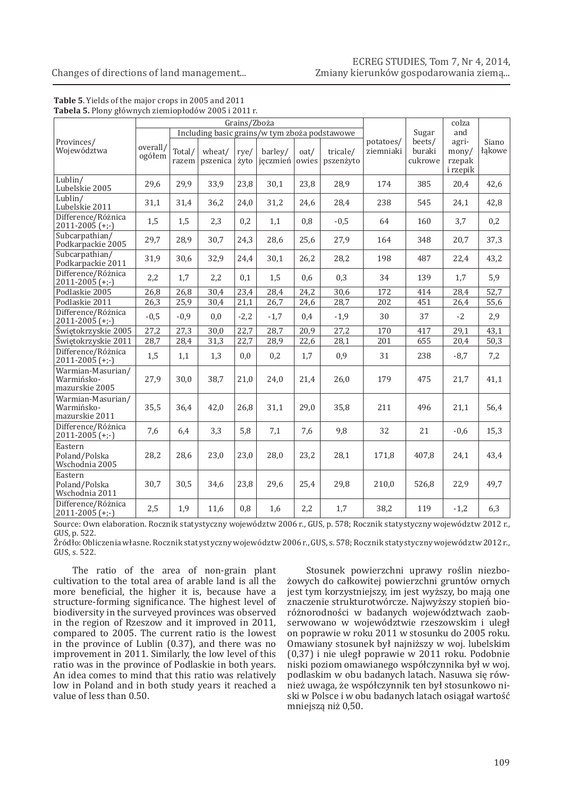# ECREG STUDIES, Tom 7, Nr 4, 2014,<br>...Zmiany kierunków gospodarowania ziemą

#### Changes of directions of land management...

| Grains/Zboża                                      |                    |                 |                    |              |                                               |               |                       |                        |                             | colza                                         |                 |
|---------------------------------------------------|--------------------|-----------------|--------------------|--------------|-----------------------------------------------|---------------|-----------------------|------------------------|-----------------------------|-----------------------------------------------|-----------------|
|                                                   |                    |                 |                    |              | Including basic grains/w tym zboża podstawowe |               |                       |                        | Sugar                       | and                                           |                 |
| Provinces/<br>Województwa                         | overall/<br>ogółem | Total/<br>razem | wheat/<br>pszenica | rye/<br>żyto | barley/<br>jęczmień                           | oat/<br>owies | tricale/<br>pszenżyto | potatoes/<br>ziemniaki | beets/<br>buraki<br>cukrowe | agri-<br>$\text{mony}/$<br>rzepak<br>i rzepik | Siano<br>łakowe |
| Lublin/<br>Lubelskie 2005                         | 29,6               | 29,9            | 33,9               | 23,8         | 30,1                                          | 23,8          | 28,9                  | 174                    | 385                         | 20,4                                          | 42,6            |
| Lublin/<br>Lubelskie 2011                         | 31,1               | 31,4            | 36,2               | 24,0         | 31,2                                          | 24,6          | 28,4                  | 238                    | 545                         | 24,1                                          | 42,8            |
| Difference/Różnica<br>$2011 - 2005$ (+;-)         | 1,5                | 1,5             | 2,3                | 0,2          | 1,1                                           | 0,8           | $-0,5$                | 64                     | 160                         | 3,7                                           | 0,2             |
| Subcarpathian/<br>Podkarpackie 2005               | 29,7               | 28,9            | 30,7               | 24,3         | 28,6                                          | 25,6          | 27,9                  | 164                    | 348                         | 20,7                                          | 37,3            |
| Subcarpathian/<br>Podkarpackie 2011               | 31,9               | 30,6            | 32,9               | 24,4         | 30,1                                          | 26,2          | 28,2                  | 198                    | 487                         | 22,4                                          | 43,2            |
| Difference/Różnica<br>$2011 - 2005$ (+;-)         | 2,2                | 1,7             | 2,2                | 0,1          | 1,5                                           | 0,6           | 0,3                   | 34                     | 139                         | 1,7                                           | 5,9             |
| Podlaskie 2005                                    | $\overline{26,8}$  | 26,8            | 30,4               | 23,4         | 28,4                                          | 24,2          | 30,6                  | 172                    | 414                         | 28,4                                          | 52,7            |
| Podlaskie 2011                                    | 26,3               | 25,9            | 30,4               | 21,1         | 26,7                                          | 24,6          | 28,7                  | 202                    | 451                         | 26,4                                          | 55,6            |
| Difference/Różnica<br>$2011 - 2005 (+;-)$         | $-0,5$             | $-0,9$          | 0,0                | $-2,2$       | $-1,7$                                        | 0,4           | $-1,9$                | 30                     | 37                          | $-2$                                          | 2,9             |
| Świętokrzyskie 2005                               | 27,2               | 27,3            | 30,0               | 22,7         | 28,7                                          | 20,9          | 27,2                  | 170                    | 417                         | 29,1                                          | 43,1            |
| Świętokrzyskie 2011                               | 28,7               | 28,4            | 31,3               | 22,7         | 28,9                                          | 22,6          | 28,1                  | 201                    | 655                         | 20,4                                          | 50,3            |
| Difference/Różnica<br>$2011 - 2005$ (+;-)         | 1,5                | 1,1             | 1,3                | 0,0          | 0,2                                           | 1,7           | 0,9                   | 31                     | 238                         | $-8,7$                                        | 7,2             |
| Warmian-Masurian/<br>Warmińsko-<br>mazurskie 2005 | 27,9               | 30,0            | 38,7               | 21,0         | 24,0                                          | 21,4          | 26,0                  | 179                    | 475                         | 21,7                                          | 41,1            |
| Warmian-Masurian/<br>Warmińsko-<br>mazurskie 2011 | 35,5               | 36,4            | 42,0               | 26,8         | 31,1                                          | 29,0          | 35,8                  | 211                    | 496                         | 21,1                                          | 56,4            |
| Difference/Różnica<br>$2011 - 2005$ (+;-)         | 7,6                | 6,4             | 3,3                | 5,8          | 7,1                                           | 7,6           | 9,8                   | 32                     | 21                          | $-0,6$                                        | 15,3            |
| Eastern<br>Poland/Polska<br>Wschodnia 2005        | 28,2               | 28,6            | 23,0               | 23,0         | 28,0                                          | 23,2          | 28,1                  | 171,8                  | 407.8                       | 24,1                                          | 43,4            |
| Eastern<br>Poland/Polska<br>Wschodnia 2011        | 30,7               | 30,5            | 34,6               | 23,8         | 29,6                                          | 25,4          | 29,8                  | 210.0                  | 526,8                       | 22,9                                          | 49,7            |
| Difference/Różnica<br>$2011 - 2005$ (+;-)         | 2,5                | 1,9             | 11,6               | 0,8          | 1,6                                           | 2,2           | 1,7                   | 38,2                   | 119                         | $-1,2$                                        | 6,3             |

#### **Table 5**. Yields of the major crops in 2005 and 2011 **Tabela 5.** Plony głównych ziemiopłodów 2005 i 2011 r.

Source: Own elaboration. Rocznik statystyczny województw 2006 r., GUS, p. 578; Rocznik statystyczny województw 2012 r., GUS, p. 522.

Źródło: Obliczenia własne. Rocznik statystyczny województw 2006 r., GUS, s. 578; Rocznik statystyczny województw 2012 r., GUS, s. 522.

The ratio of the area of non-grain plant cultivation to the total area of arable land is all the more beneficial, the higher it is, because have a structure-forming significance. The highest level of biodiversity in the surveyed provinces was observed in the region of Rzeszow and it improved in 2011, compared to 2005. The current ratio is the lowest in the province of Lublin (0.37), and there was no improvement in 2011. Similarly, the low level of this ratio was in the province of Podlaskie in both years. An idea comes to mind that this ratio was relatively low in Poland and in both study years it reached a value of less than 0.50.

Stosunek powierzchni uprawy roślin niezbożowych do całkowitej powierzchni gruntów ornych jest tym korzystniejszy, im jest wyższy, bo mają one znaczenie strukturotwórcze. Najwyższy stopień bioróżnorodności w badanych województwach zaobserwowano w województwie rzeszowskim i uległ on poprawie w roku 2011 w stosunku do 2005 roku. Omawiany stosunek był najniższy w woj. lubelskim (0,37) i nie uległ poprawie w 2011 roku. Podobnie niski poziom omawianego współczynnika był w woj. podlaskim w obu badanych latach. Nasuwa się również uwaga, że współczynnik ten był stosunkowo niski w Polsce i w obu badanych latach osiągał wartość mniejszą niż 0,50.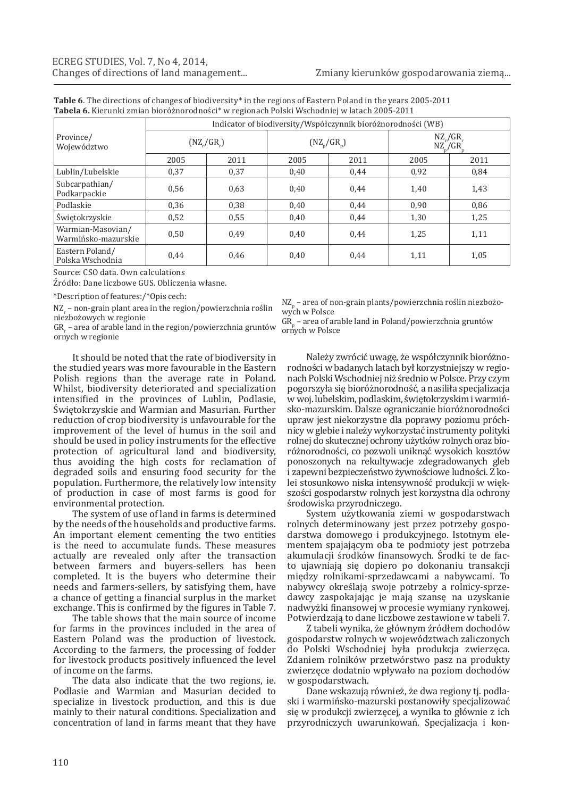|                                          | Indicator of biodiversity/Współczynnik bioróżnorodności (WB) |                   |      |               |                                |      |  |  |  |  |  |
|------------------------------------------|--------------------------------------------------------------|-------------------|------|---------------|--------------------------------|------|--|--|--|--|--|
| Province/<br>Województwo                 |                                                              | $(NZ_{r}/GR_{r})$ |      | $(NZ_p/GR_p)$ | $NZ_{r}/GR_{r}$<br>$NZ_p/GR_p$ |      |  |  |  |  |  |
|                                          | 2005                                                         | 2011              | 2005 | 2011          | 2005                           | 2011 |  |  |  |  |  |
| Lublin/Lubelskie                         | 0,37                                                         | 0,37              | 0,40 | 0,44          | 0,92                           | 0,84 |  |  |  |  |  |
| Subcarpathian/<br>Podkarpackie           | 0,56                                                         | 0,63              | 0,40 | 0,44          | 1,40                           | 1,43 |  |  |  |  |  |
| Podlaskie                                | 0,36                                                         | 0,38              | 0.40 | 0.44          | 0.90                           | 0,86 |  |  |  |  |  |
| Świętokrzyskie                           | 0,52                                                         | 0.55              | 0,40 | 0,44          | 1,30                           | 1,25 |  |  |  |  |  |
| Warmian-Masovian/<br>Warmińsko-mazurskie | 0,50                                                         | 0.49              | 0.40 | 0.44          | 1,25                           | 1,11 |  |  |  |  |  |
| Eastern Poland/<br>Polska Wschodnia      | 0,44                                                         | 0,46              | 0,40 | 0,44          | 1,11                           | 1,05 |  |  |  |  |  |

**Table 6**. The directions of changes of biodiversity\* in the regions of Eastern Poland in the years 2005-2011 **Tabela 6.** Kierunki zmian bioróżnorodności\* w regionach Polski Wschodniej w latach 2005-2011

Source: CSO data. Own calculations

Źródło: Dane liczbowe GUS. Obliczenia własne.

\*Description of features:/\*Opis cech:

 $N_Z$  – non-grain plant area in the region/powierzchnia roślin niezbożowych w regionie

 $\rm{GR}_{r}$  – area of arable land in the region/powierzchnia gruntów ornych w regionie

It should be noted that the rate of biodiversity in the studied years was more favourable in the Eastern Polish regions than the average rate in Poland. Whilst, biodiversity deteriorated and specialization intensified in the provinces of Lublin, Podlasie, Świętokrzyskie and Warmian and Masurian. Further reduction of crop biodiversity is unfavourable for the improvement of the level of humus in the soil and should be used in policy instruments for the effective protection of agricultural land and biodiversity, thus avoiding the high costs for reclamation of degraded soils and ensuring food security for the population. Furthermore, the relatively low intensity of production in case of most farms is good for environmental protection.

The system of use of land in farms is determined by the needs of the households and productive farms. An important element cementing the two entities is the need to accumulate funds. These measures actually are revealed only after the transaction between farmers and buyers-sellers has been completed. It is the buyers who determine their needs and farmers-sellers, by satisfying them, have a chance of getting a financial surplus in the market exchange. This is confirmed by the figures in Table 7.

The table shows that the main source of income for farms in the provinces included in the area of Eastern Poland was the production of livestock. According to the farmers, the processing of fodder for livestock products positively influenced the level of income on the farms.

The data also indicate that the two regions, ie. Podlasie and Warmian and Masurian decided to specialize in livestock production, and this is due mainly to their natural conditions. Specialization and concentration of land in farms meant that they have

 $NZ_{p}$  – area of non-grain plants/powierzchnia roślin niezbożowych w Polsce

 $GR_p$  – area of arable land in Poland/powierzchnia gruntów ornych w Polsce

Należy zwrócić uwagę, że współczynnik bioróżnorodności w badanych latach był korzystniejszy w regionach Polski Wschodniej niż średnio w Polsce. Przy czym pogorszyła się bioróżnorodność, a nasiliła specjalizacja wwoj. lubelskim, podlaskim, świętokrzyskim iwarmińsko-mazurskim. Dalsze ograniczanie bioróżnorodności upraw jest niekorzystne dla poprawy poziomu próchnicy w glebie i należy wykorzystać instrumenty polityki rolnej do skutecznej ochrony użytków rolnych oraz bioróżnorodności, co pozwoli uniknąć wysokich kosztów ponoszonych na rekultywacje zdegradowanych gleb i zapewni bezpieczeństwo żywnościowe ludności. Z kolei stosunkowo niska intensywność produkcji w większości gospodarstw rolnych jest korzystna dla ochrony środowiska przyrodniczego.

System użytkowania ziemi w gospodarstwach rolnych determinowany jest przez potrzeby gospodarstwa domowego i produkcyjnego. Istotnym elementem spajającym oba te podmioty jest potrzeba akumulacji środków finansowych. Środki te de facto ujawniają się dopiero po dokonaniu transakcji między rolnikami-sprzedawcami a nabywcami. To nabywcy określają swoje potrzeby a rolnicy-sprzedawcy zaspokajając je mają szansę na uzyskanie nadwyżki finansowej w procesie wymiany rynkowej. Potwierdzają to dane liczbowe zestawione w tabeli 7.

Z tabeli wynika, że głównym źródłem dochodów gospodarstw rolnych w województwach zaliczonych do Polski Wschodniej była produkcja zwierzęca. Zdaniem rolników przetwórstwo pasz na produkty zwierzęce dodatnio wpływało na poziom dochodów w gospodarstwach.

Dane wskazują również, że dwa regiony tj. podlaski i warmińsko-mazurski postanowiły specjalizować się w produkcji zwierzęcej, a wynika to głównie z ich przyrodniczych uwarunkowań. Specjalizacja i kon-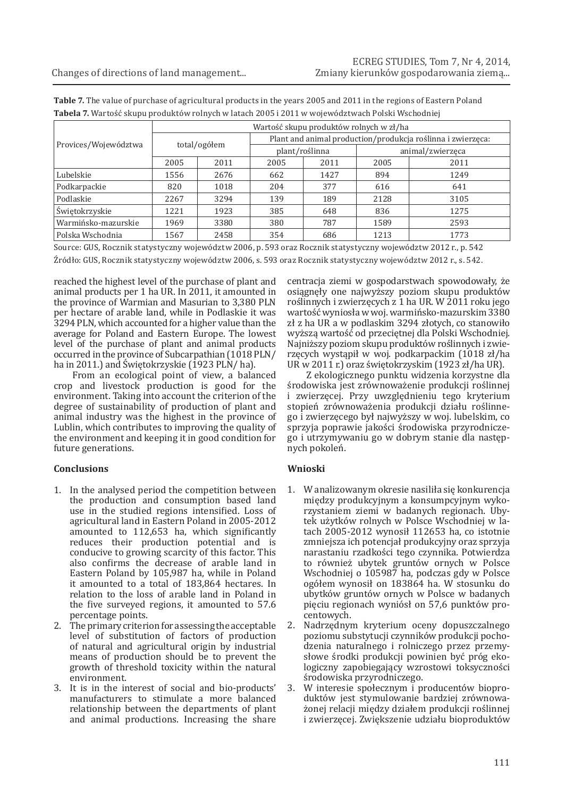|                      | Wartość skupu produktów rolnych w zł/ha |      |                                                             |                |                  |      |  |  |  |  |
|----------------------|-----------------------------------------|------|-------------------------------------------------------------|----------------|------------------|------|--|--|--|--|
| Provices/Województwa |                                         |      | Plant and animal production/produkcja roślinna i zwierzęca: |                |                  |      |  |  |  |  |
|                      | total/ogółem                            |      |                                                             | plant/roślinna | animal/zwierzęca |      |  |  |  |  |
|                      | 2005                                    | 2011 | 2005                                                        | 2011           | 2005             | 2011 |  |  |  |  |
| Lubelskie            | 1556                                    | 2676 | 662                                                         | 1427           | 894              | 1249 |  |  |  |  |
| Podkarpackie         | 820                                     | 1018 | 204                                                         | 377            | 616              | 641  |  |  |  |  |
| Podlaskie            | 2267                                    | 3294 | 139                                                         | 189            | 2128             | 3105 |  |  |  |  |
| Świętokrzyskie       | 1221                                    | 1923 | 385                                                         | 648            | 836              | 1275 |  |  |  |  |
| Warmińsko-mazurskie  | 1969                                    | 3380 | 380                                                         | 787            | 1589             | 2593 |  |  |  |  |
| Polska Wschodnia     | 1567                                    | 2458 | 354                                                         | 686            | 1213             | 1773 |  |  |  |  |

**Table 7.** The value of purchase of agricultural products in the years 2005 and 2011 in the regions of Eastern Poland **Tabela 7.** Wartość skupu produktów rolnych w latach 2005 i 2011 w województwach Polski Wschodniej

Source: GUS, Rocznik statystyczny województw 2006, p. 593 oraz Rocznik statystyczny województw 2012 r., p. 542 Źródło: GUS, Rocznik statystyczny województw 2006, s. 593 oraz Rocznik statystyczny województw 2012 r., s. 542.

reached the highest level of the purchase of plant and animal products per 1 ha UR. In 2011, it amounted in the province of Warmian and Masurian to 3,380 PLN per hectare of arable land, while in Podlaskie it was 3294 PLN, which accounted for a higher value than the average for Poland and Eastern Europe. The lowest level of the purchase of plant and animal products occurred in the province of Subcarpathian (1018 PLN/ ha in 2011.) and Świętokrzyskie (1923 PLN/ ha).

From an ecological point of view, a balanced crop and livestock production is good for the environment. Taking into account the criterion of the degree of sustainability of production of plant and animal industry was the highest in the province of Lublin, which contributes to improving the quality of the environment and keeping it in good condition for future generations.

# **Conclusions**

- 1. In the analysed period the competition between the production and consumption based land use in the studied regions intensified. Loss of agricultural land in Eastern Poland in 2005-2012 amounted to 112,653 ha, which significantly reduces their production potential and is conducive to growing scarcity of this factor. This also confirms the decrease of arable land in Eastern Poland by 105,987 ha, while in Poland it amounted to a total of 183,864 hectares. In relation to the loss of arable land in Poland in the five surveyed regions, it amounted to 57.6 percentage points.
- 2. The primary criterion for assessing the acceptable level of substitution of factors of production of natural and agricultural origin by industrial means of production should be to prevent the growth of threshold toxicity within the natural environment.
- 3. It is in the interest of social and bio-products' manufacturers to stimulate a more balanced relationship between the departments of plant and animal productions. Increasing the share

centracja ziemi w gospodarstwach spowodowały, że osiągnęły one najwyższy poziom skupu produktów roślinnych i zwierzęcych z 1 ha UR. W 2011 roku jego wartość wyniosła w woj. warmińsko-mazurskim 3380 zł z ha UR a w podlaskim 3294 złotych, co stanowiło wyższą wartość od przeciętnej dla Polski Wschodniej. Najniższy poziom skupu produktów roślinnych i zwierzęcych wystąpił w woj. podkarpackim (1018 zł/ha UR w 2011 r.) oraz świętokrzyskim (1923 zł/ha UR).

Z ekologicznego punktu widzenia korzystne dla środowiska jest zrównoważenie produkcji roślinnej i zwierzęcej. Przy uwzględnieniu tego kryterium stopień zrównoważenia produkcji działu roślinnego i zwierzęcego był najwyższy w woj. lubelskim, co sprzyja poprawie jakości środowiska przyrodniczego i utrzymywaniu go w dobrym stanie dla następnych pokoleń.

# **Wnioski**

- 1. W analizowanym okresie nasiliła się konkurencja między produkcyjnym a konsumpcyjnym wykorzystaniem ziemi w badanych regionach. Ubytek użytków rolnych w Polsce Wschodniej w latach 2005-2012 wynosił 112653 ha, co istotnie zmniejsza ich potencjał produkcyjny oraz sprzyja narastaniu rzadkości tego czynnika. Potwierdza to również ubytek gruntów ornych w Polsce Wschodniej o 105987 ha, podczas gdy w Polsce ogółem wynosił on 183864 ha. W stosunku do ubytków gruntów ornych w Polsce w badanych pięciu regionach wyniósł on 57,6 punktów procentowych.
- 2. Nadrzędnym kryterium oceny dopuszczalnego poziomu substytucji czynników produkcji pochodzenia naturalnego i rolniczego przez przemysłowe środki produkcji powinien być próg ekologiczny zapobiegający wzrostowi toksyczności środowiska przyrodniczego.
- 3. W interesie społecznym i producentów bioproduktów jest stymulowanie bardziej zrównoważonej relacji między działem produkcji roślinnej i zwierzęcej. Zwiększenie udziału bioproduktów